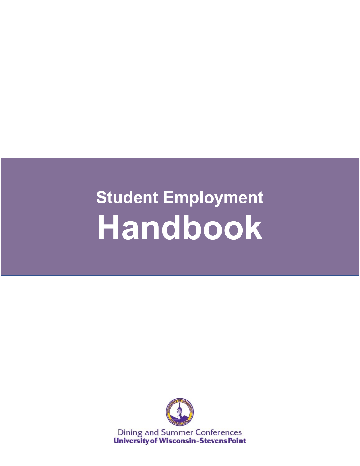# **Student Employment Handbook**



**Dining and Summer Conferences University of Wisconsin-Stevens Point**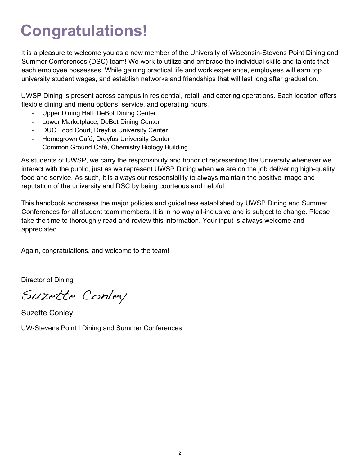# **Congratulations!**

It is a pleasure to welcome you as a new member of the University of Wisconsin-Stevens Point Dining and Summer Conferences (DSC) team! We work to utilize and embrace the individual skills and talents that each employee possesses. While gaining practical life and work experience, employees will earn top university student wages, and establish networks and friendships that will last long after graduation.

UWSP Dining is present across campus in residential, retail, and catering operations. Each location offers flexible dining and menu options, service, and operating hours.

- Upper Dining Hall, DeBot Dining Center
- Lower Marketplace, DeBot Dining Center
- DUC Food Court, Dreyfus University Center
- Homegrown Café, Dreyfus University Center
- Common Ground Café, Chemistry Biology Building

As students of UWSP, we carry the responsibility and honor of representing the University whenever we interact with the public, just as we represent UWSP Dining when we are on the job delivering high-quality food and service. As such, it is always our responsibility to always maintain the positive image and reputation of the university and DSC by being courteous and helpful.

This handbook addresses the major policies and guidelines established by UWSP Dining and Summer Conferences for all student team members. It is in no way all-inclusive and is subject to change. Please take the time to thoroughly read and review this information. Your input is always welcome and appreciated.

Again, congratulations, and welcome to the team!

Director of Dining

Suzette Conley

Suzette Conley UW-Stevens Point I Dining and Summer Conferences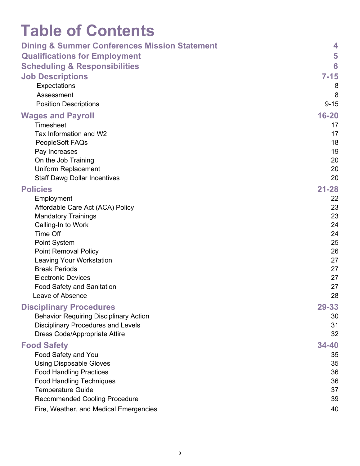# **Table of Contents**

| <b>Dining &amp; Summer Conferences Mission Statement</b> | 4         |
|----------------------------------------------------------|-----------|
| <b>Qualifications for Employment</b>                     | 5         |
| <b>Scheduling &amp; Responsibilities</b>                 | 6         |
| <b>Job Descriptions</b>                                  | $7 - 15$  |
| Expectations                                             | 8         |
| Assessment                                               | 8         |
| <b>Position Descriptions</b>                             | $9 - 15$  |
| <b>Wages and Payroll</b>                                 | $16 - 20$ |
| Timesheet                                                | 17        |
| Tax Information and W2                                   | 17        |
| PeopleSoft FAQs                                          | 18        |
| Pay Increases                                            | 19        |
| On the Job Training                                      | 20        |
| <b>Uniform Replacement</b>                               | 20        |
| <b>Staff Dawg Dollar Incentives</b>                      | 20        |
| <b>Policies</b>                                          | $21 - 28$ |
| Employment                                               | 22        |
| Affordable Care Act (ACA) Policy                         | 23        |
| <b>Mandatory Trainings</b>                               | 23        |
| Calling-In to Work                                       | 24        |
| <b>Time Off</b>                                          | 24        |
| <b>Point System</b>                                      | 25        |
| <b>Point Removal Policy</b>                              | 26<br>27  |
| <b>Leaving Your Workstation</b><br><b>Break Periods</b>  | 27        |
| <b>Electronic Devices</b>                                | 27        |
| Food Safety and Sanitation                               | 27        |
| Leave of Absence                                         | 28        |
| <b>Disciplinary Procedures</b>                           | 29-33     |
| <b>Behavior Requiring Disciplinary Action</b>            | 30        |
| <b>Disciplinary Procedures and Levels</b>                | 31        |
| <b>Dress Code/Appropriate Attire</b>                     | 32        |
|                                                          | 34-40     |
| <b>Food Safety</b><br>Food Safety and You                | 35        |
| <b>Using Disposable Gloves</b>                           | 35        |
| <b>Food Handling Practices</b>                           | 36        |
| <b>Food Handling Techniques</b>                          | 36        |
| <b>Temperature Guide</b>                                 | 37        |
| <b>Recommended Cooling Procedure</b>                     | 39        |
| Fire, Weather, and Medical Emergencies                   | 40        |
|                                                          |           |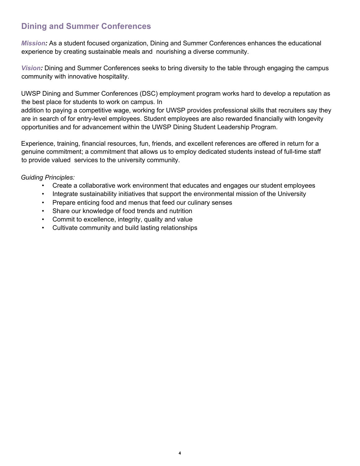# **Dining and Summer Conferences**

*Mission:* As a student focused organization, Dining and Summer Conferences enhances the educational experience by creating sustainable meals and nourishing a diverse community.

*Vision:* Dining and Summer Conferences seeks to bring diversity to the table through engaging the campus community with innovative hospitality.

UWSP Dining and Summer Conferences (DSC) employment program works hard to develop a reputation as the best place for students to work on campus. In

addition to paying a competitive wage, working for UWSP provides professional skills that recruiters say they are in search of for entry-level employees. Student employees are also rewarded financially with longevity opportunities and for advancement within the UWSP Dining Student Leadership Program.

Experience, training, financial resources, fun, friends, and excellent references are offered in return for a genuine commitment; a commitment that allows us to employ dedicated students instead of full-time staff to provide valued services to the university community.

*Guiding Principles:*

- Create a collaborative work environment that educates and engages our student employees
- Integrate sustainability initiatives that support the environmental mission of the University
- Prepare enticing food and menus that feed our culinary senses
- Share our knowledge of food trends and nutrition
- Commit to excellence, integrity, quality and value
- Cultivate community and build lasting relationships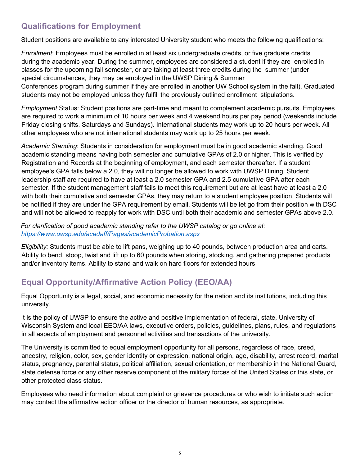# **Qualifications for Employment**

Student positions are available to any interested University student who meets the following qualifications:

*Enrollment*: Employees must be enrolled in at least six undergraduate credits, or five graduate credits during the academic year. During the summer, employees are considered a student if they are enrolled in classes for the upcoming fall semester, or are taking at least three credits during the summer (under special circumstances, they may be employed in the UWSP Dining & Summer Conferences program during summer if they are enrolled in another UW School system in the fall). Graduated students may not be employed unless they fulfill the previously outlined enrollment stipulations.

*Employment* Status: Student positions are part-time and meant to complement academic pursuits. Employees are required to work a minimum of 10 hours per week and 4 weekend hours per pay period (weekends include Friday closing shifts, Saturdays and Sundays). International students may work up to 20 hours per week. All other employees who are not international students may work up to 25 hours per week.

*Academic Standing*: Students in consideration for employment must be in good academic standing. Good academic standing means having both semester and cumulative GPAs of 2.0 or higher. This is verified by Registration and Records at the beginning of employment, and each semester thereafter. If a student employee's GPA falls below a 2.0, they will no longer be allowed to work with UWSP Dining. Student leadership staff are required to have at least a 2.0 semester GPA and 2.5 cumulative GPA after each semester. If the student management staff fails to meet this requirement but are at least have at least a 2.0 with both their cumulative and semester GPAs, they may return to a student employee position. Students will be notified if they are under the GPA requirement by email. Students will be let go from their position with DSC and will not be allowed to reapply for work with DSC until both their academic and semester GPAs above 2.0.

*For clarification of good academic standing refer to the UWSP catalog or go online at: https://www.uwsp.edu/acadaff/Pages/academicProbation.aspx* 

*Eligibility:* Students must be able to lift pans, weighing up to 40 pounds, between production area and carts. Ability to bend, stoop, twist and lift up to 60 pounds when storing, stocking, and gathering prepared products and/or inventory items. Ability to stand and walk on hard floors for extended hours

# **Equal Opportunity/Affirmative Action Policy (EEO/AA)**

Equal Opportunity is a legal, social, and economic necessity for the nation and its institutions, including this university.

It is the policy of UWSP to ensure the active and positive implementation of federal, state, University of Wisconsin System and local EEO/AA laws, executive orders, policies, guidelines, plans, rules, and regulations in all aspects of employment and personnel activities and transactions of the university.

The University is committed to equal employment opportunity for all persons, regardless of race, creed, ancestry, religion, color, sex, gender identity or expression, national origin, age, disability, arrest record, marital status, pregnancy, parental status, political affiliation, sexual orientation, or membership in the National Guard, state defense force or any other reserve component of the military forces of the United States or this state, or other protected class status.

Employees who need information about complaint or grievance procedures or who wish to initiate such action may contact the affirmative action officer or the director of human resources, as appropriate.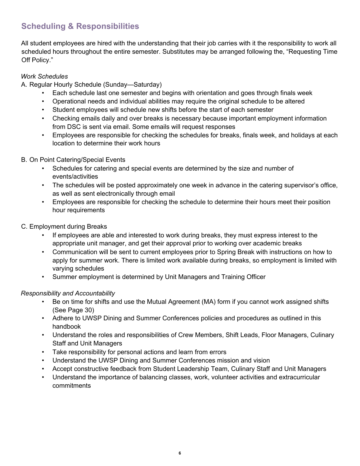# **Scheduling & Responsibilities**

All student employees are hired with the understanding that their job carries with it the responsibility to work all scheduled hours throughout the entire semester. Substitutes may be arranged following the, "Requesting Time Off Policy."

#### *Work Schedules*

A. Regular Hourly Schedule (Sunday—Saturday)

- Each schedule last one semester and begins with orientation and goes through finals week
- Operational needs and individual abilities may require the original schedule to be altered
- Student employees will schedule new shifts before the start of each semester
- Checking emails daily and over breaks is necessary because important employment information from DSC is sent via email. Some emails will request responses
- Employees are responsible for checking the schedules for breaks, finals week, and holidays at each location to determine their work hours

#### B. On Point Catering/Special Events

- Schedules for catering and special events are determined by the size and number of events/activities
- The schedules will be posted approximately one week in advance in the catering supervisor's office, as well as sent electronically through email
- Employees are responsible for checking the schedule to determine their hours meet their position hour requirements
- C. Employment during Breaks
	- If employees are able and interested to work during breaks, they must express interest to the appropriate unit manager, and get their approval prior to working over academic breaks
	- Communication will be sent to current employees prior to Spring Break with instructions on how to apply for summer work. There is limited work available during breaks, so employment is limited with varying schedules
	- Summer employment is determined by Unit Managers and Training Officer

#### *Responsibility and Accountability*

- Be on time for shifts and use the Mutual Agreement (MA) form if you cannot work assigned shifts (See Page 30)
- Adhere to UWSP Dining and Summer Conferences policies and procedures as outlined in this handbook
- Understand the roles and responsibilities of Crew Members, Shift Leads, Floor Managers, Culinary Staff and Unit Managers
- Take responsibility for personal actions and learn from errors
- Understand the UWSP Dining and Summer Conferences mission and vision
- Accept constructive feedback from Student Leadership Team, Culinary Staff and Unit Managers
- Understand the importance of balancing classes, work, volunteer activities and extracurricular commitments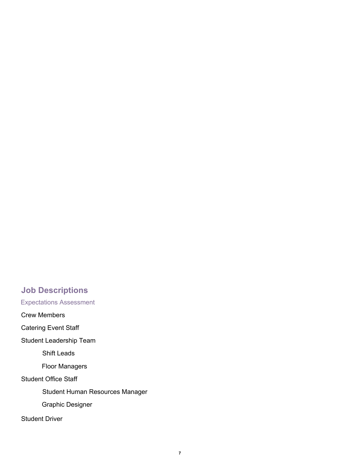# **Job Descriptions**

Expectations Assessment

Crew Members

Catering Event Staff

Student Leadership Team

Shift Leads

Floor Managers

Student Office Staff

Student Human Resources Manager

Graphic Designer

Student Driver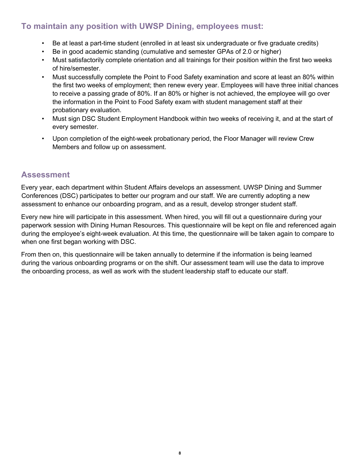# **To maintain any position with UWSP Dining, employees must:**

- Be at least a part-time student (enrolled in at least six undergraduate or five graduate credits)
- Be in good academic standing (cumulative and semester GPAs of 2.0 or higher)
- Must satisfactorily complete orientation and all trainings for their position within the first two weeks of hire/semester.
- Must successfully complete the Point to Food Safety examination and score at least an 80% within the first two weeks of employment; then renew every year. Employees will have three initial chances to receive a passing grade of 80%. If an 80% or higher is not achieved, the employee will go over the information in the Point to Food Safety exam with student management staff at their probationary evaluation.
- Must sign DSC Student Employment Handbook within two weeks of receiving it, and at the start of every semester.
- Upon completion of the eight-week probationary period, the Floor Manager will review Crew Members and follow up on assessment.

## **Assessment**

Every year, each department within Student Affairs develops an assessment. UWSP Dining and Summer Conferences (DSC) participates to better our program and our staff. We are currently adopting a new assessment to enhance our onboarding program, and as a result, develop stronger student staff.

Every new hire will participate in this assessment. When hired, you will fill out a questionnaire during your paperwork session with Dining Human Resources. This questionnaire will be kept on file and referenced again during the employee's eight-week evaluation. At this time, the questionnaire will be taken again to compare to when one first began working with DSC.

From then on, this questionnaire will be taken annually to determine if the information is being learned during the various onboarding programs or on the shift. Our assessment team will use the data to improve the onboarding process, as well as work with the student leadership staff to educate our staff.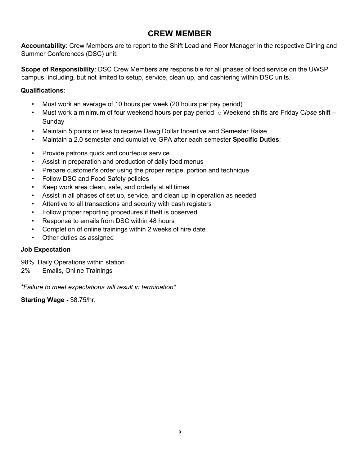# **CREW MEMBER**

**Accountability**: Crew Members are to report to the Shift Lead and Floor Manager in the respective Dining and Summer Conferences (DSC) unit.

**Scope of Responsibility**: DSC Crew Members are responsible for all phases of food service on the UWSP campus, including, but not limited to setup, service, clean up, and cashiering within DSC units.

#### **Qualifications**:

- Must work an average of 10 hours per week (20 hours per pay period)
- Must work a minimum of four weekend hours per pay period o Weekend shifts are Friday C*lose* shift Sunday
- Maintain 5 points or less to receive Dawg Dollar Incentive and Semester Raise
- Maintain a 2.0 semester and cumulative GPA after each semester **Specific Duties**:
- Provide patrons quick and courteous service
- Assist in preparation and production of daily food menus
- Prepare customer's order using the proper recipe, portion and technique
- Follow DSC and Food Safety policies
- Keep work area clean, safe, and orderly at all times
- Assist in all phases of set up, service, and clean up in operation as needed
- Attentive to all transactions and security with cash registers
- Follow proper reporting procedures if theft is observed
- Response to emails from DSC within 48 hours
- Completion of online trainings within 2 weeks of hire date
- Other duties as assigned

#### **Job Expectation**

98% Daily Operations within station

2% Emails, Online Trainings

*\*Failure to meet expectations will result in termination\** 

**Starting Wage -** \$8.75/hr.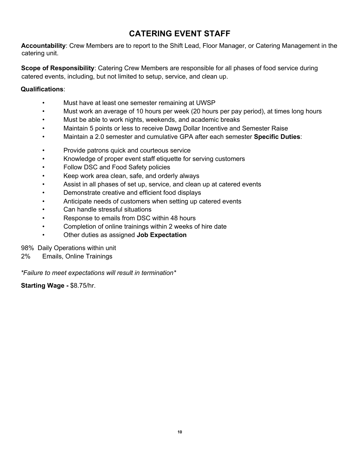# **CATERING EVENT STAFF**

**Accountability**: Crew Members are to report to the Shift Lead, Floor Manager, or Catering Management in the catering unit.

**Scope of Responsibility**: Catering Crew Members are responsible for all phases of food service during catered events, including, but not limited to setup, service, and clean up.

#### **Qualifications**:

- Must have at least one semester remaining at UWSP
- Must work an average of 10 hours per week (20 hours per pay period), at times long hours
- Must be able to work nights, weekends, and academic breaks
- Maintain 5 points or less to receive Dawg Dollar Incentive and Semester Raise
- Maintain a 2.0 semester and cumulative GPA after each semester **Specific Duties**:
- Provide patrons quick and courteous service
- Knowledge of proper event staff etiquette for serving customers
- Follow DSC and Food Safety policies
- Keep work area clean, safe, and orderly always
- Assist in all phases of set up, service, and clean up at catered events
- Demonstrate creative and efficient food displays
- Anticipate needs of customers when setting up catered events
- Can handle stressful situations
- Response to emails from DSC within 48 hours
- Completion of online trainings within 2 weeks of hire date
- Other duties as assigned **Job Expectation**

98% Daily Operations within unit

2% Emails, Online Trainings

*\*Failure to meet expectations will result in termination\** 

**Starting Wage -** \$8.75/hr.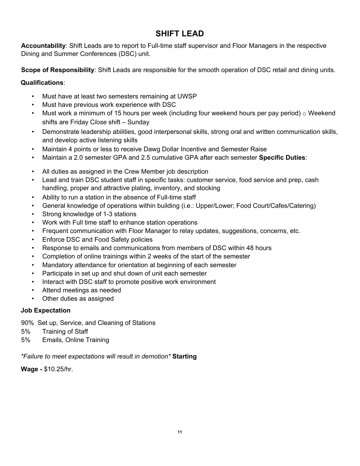# **SHIFT LEAD**

**Accountability**: Shift Leads are to report to Full-time staff supervisor and Floor Managers in the respective Dining and Summer Conferences (DSC) unit.

**Scope of Responsibility**: Shift Leads are responsible for the smooth operation of DSC retail and dining units.

#### **Qualifications**:

- Must have at least two semesters remaining at UWSP
- Must have previous work experience with DSC
- Must work a minimum of 15 hours per week (including four weekend hours per pay period)  $\circ$  Weekend shifts are Friday C*lose* shift – Sunday
- Demonstrate leadership abilities, good interpersonal skills, strong oral and written communication skills, and develop active listening skills
- Maintain 4 points or less to receive Dawg Dollar Incentive and Semester Raise
- Maintain a 2.0 semester GPA and 2.5 cumulative GPA after each semester **Specific Duties**:
- All duties as assigned in the Crew Member job description
- Lead and train DSC student staff in specific tasks: customer service, food service and prep, cash handling, proper and attractive plating, inventory, and stocking
- Ability to run a station in the absence of Full-time staff
- General knowledge of operations within building (i.e.: Upper/Lower; Food Court/Cafes/Catering)
- Strong knowledge of 1-3 stations
- Work with Full time staff to enhance station operations
- Frequent communication with Floor Manager to relay updates, suggestions, concerns, etc.
- Enforce DSC and Food Safety policies
- Response to emails and communications from members of DSC within 48 hours
- Completion of online trainings within 2 weeks of the start of the semester
- Mandatory attendance for orientation at beginning of each semester
- Participate in set up and shut down of unit each semester
- Interact with DSC staff to promote positive work environment
- Attend meetings as needed
- Other duties as assigned

#### **Job Expectation**

90% Set up, Service, and Cleaning of Stations

- 5% Training of Staff
- 5% Emails, Online Training

*\*Failure to meet expectations will result in demotion\** **Starting** 

**Wage -** \$10.25/hr.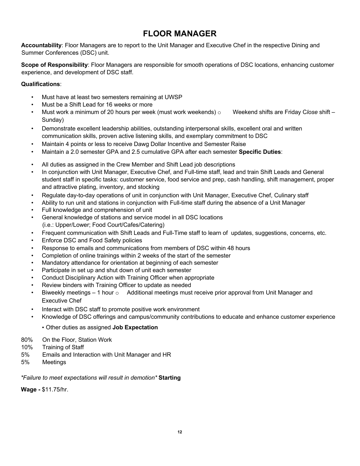# **FLOOR MANAGER**

**Accountability**: Floor Managers are to report to the Unit Manager and Executive Chef in the respective Dining and Summer Conferences (DSC) unit.

**Scope of Responsibility**: Floor Managers are responsible for smooth operations of DSC locations, enhancing customer experience, and development of DSC staff.

#### **Qualifications**:

- Must have at least two semesters remaining at UWSP
- Must be a Shift Lead for 16 weeks or more
- Must work a minimum of 20 hours per week (must work weekends) o Weekend shifts are Friday Close shift Sunday)
- Demonstrate excellent leadership abilities, outstanding interpersonal skills, excellent oral and written communication skills, proven active listening skills, and exemplary commitment to DSC
- Maintain 4 points or less to receive Dawg Dollar Incentive and Semester Raise
- Maintain a 2.0 semester GPA and 2.5 cumulative GPA after each semester **Specific Duties**:
- All duties as assigned in the Crew Member and Shift Lead job descriptions
- In conjunction with Unit Manager, Executive Chef, and Full-time staff, lead and train Shift Leads and General student staff in specific tasks: customer service, food service and prep, cash handling, shift management, proper and attractive plating, inventory, and stocking
- Regulate day-to-day operations of unit in conjunction with Unit Manager, Executive Chef, Culinary staff
- Ability to run unit and stations in conjunction with Full-time staff during the absence of a Unit Manager
- Full knowledge and comprehension of unit
- General knowledge of stations and service model in all DSC locations (i.e.: Upper/Lower; Food Court/Cafes/Catering)
- Frequent communication with Shift Leads and Full-Time staff to learn of updates, suggestions, concerns, etc.
- Enforce DSC and Food Safety policies
- Response to emails and communications from members of DSC within 48 hours
- Completion of online trainings within 2 weeks of the start of the semester
- Mandatory attendance for orientation at beginning of each semester
- Participate in set up and shut down of unit each semester
- Conduct Disciplinary Action with Training Officer when appropriate
- Review binders with Training Officer to update as needed
- Biweekly meetings 1 hour  $\circ$  Additional meetings must receive prior approval from Unit Manager and Executive Chef
- Interact with DSC staff to promote positive work environment
- Knowledge of DSC offerings and campus/community contributions to educate and enhance customer experience
	- Other duties as assigned **Job Expectation**
- 80% On the Floor, Station Work
- 10% Training of Staff
- 5% Emails and Interaction with Unit Manager and HR
- 5% Meetings

*\*Failure to meet expectations will result in demotion\** **Starting** 

**Wage -** \$11.75/hr.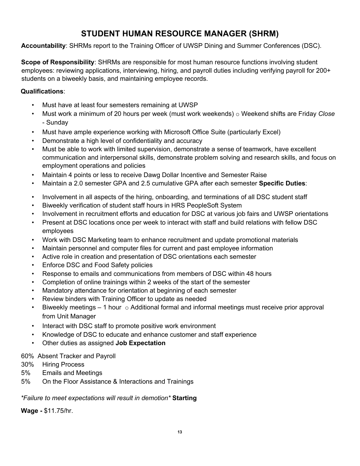# **STUDENT HUMAN RESOURCE MANAGER (SHRM)**

**Accountability**: SHRMs report to the Training Officer of UWSP Dining and Summer Conferences (DSC).

**Scope of Responsibility**: SHRMs are responsible for most human resource functions involving student employees: reviewing applications, interviewing, hiring, and payroll duties including verifying payroll for 200+ students on a biweekly basis, and maintaining employee records.

#### **Qualifications**:

- Must have at least four semesters remaining at UWSP
- Must work a minimum of 20 hours per week (must work weekends) o Weekend shifts are Friday *Close* - Sunday
- Must have ample experience working with Microsoft Office Suite (particularly Excel)
- Demonstrate a high level of confidentiality and accuracy
- Must be able to work with limited supervision, demonstrate a sense of teamwork, have excellent communication and interpersonal skills, demonstrate problem solving and research skills, and focus on employment operations and policies
- Maintain 4 points or less to receive Dawg Dollar Incentive and Semester Raise
- Maintain a 2.0 semester GPA and 2.5 cumulative GPA after each semester **Specific Duties**:
- Involvement in all aspects of the hiring, onboarding, and terminations of all DSC student staff
- Biweekly verification of student staff hours in HRS PeopleSoft System
- Involvement in recruitment efforts and education for DSC at various job fairs and UWSP orientations
- Present at DSC locations once per week to interact with staff and build relations with fellow DSC employees
- Work with DSC Marketing team to enhance recruitment and update promotional materials
- Maintain personnel and computer files for current and past employee information
- Active role in creation and presentation of DSC orientations each semester
- Enforce DSC and Food Safety policies
- Response to emails and communications from members of DSC within 48 hours
- Completion of online trainings within 2 weeks of the start of the semester
- Mandatory attendance for orientation at beginning of each semester
- Review binders with Training Officer to update as needed
- Biweekly meetings  $-1$  hour  $\circ$  Additional formal and informal meetings must receive prior approval from Unit Manager
- Interact with DSC staff to promote positive work environment
- Knowledge of DSC to educate and enhance customer and staff experience
- Other duties as assigned **Job Expectation**

#### 60% Absent Tracker and Payroll

- 30% Hiring Process
- 5% Emails and Meetings
- 5% On the Floor Assistance & Interactions and Trainings

#### *\*Failure to meet expectations will result in demotion\** **Starting**

**Wage -** \$11.75/hr.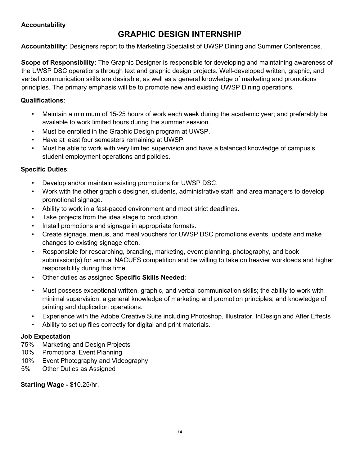#### **Accountability**

# **GRAPHIC DESIGN INTERNSHIP**

**Accountability**: Designers report to the Marketing Specialist of UWSP Dining and Summer Conferences.

**Scope of Responsibility**: The Graphic Designer is responsible for developing and maintaining awareness of the UWSP DSC operations through text and graphic design projects. Well-developed written, graphic, and verbal communication skills are desirable, as well as a general knowledge of marketing and promotions principles. The primary emphasis will be to promote new and existing UWSP Dining operations.

#### **Qualifications**:

- Maintain a minimum of 15-25 hours of work each week during the academic year; and preferably be available to work limited hours during the summer session.
- Must be enrolled in the Graphic Design program at UWSP.
- Have at least four semesters remaining at UWSP.
- Must be able to work with very limited supervision and have a balanced knowledge of campus's student employment operations and policies.

#### **Specific Duties**:

- Develop and/or maintain existing promotions for UWSP DSC.
- Work with the other graphic designer, students, administrative staff, and area managers to develop promotional signage.
- Ability to work in a fast-paced environment and meet strict deadlines.
- Take projects from the idea stage to production.
- Install promotions and signage in appropriate formats.
- Create signage, menus, and meal vouchers for UWSP DSC promotions events. update and make changes to existing signage often.
- Responsible for researching, branding, marketing, event planning, photography, and book submission(s) for annual NACUFS competition and be willing to take on heavier workloads and higher responsibility during this time.
- Other duties as assigned **Specific Skills Needed**:
- Must possess exceptional written, graphic, and verbal communication skills; the ability to work with minimal supervision, a general knowledge of marketing and promotion principles; and knowledge of printing and duplication operations.
- Experience with the Adobe Creative Suite including Photoshop, Illustrator, InDesign and After Effects
- Ability to set up files correctly for digital and print materials.

#### **Job Expectation**

- 75% Marketing and Design Projects
- 10% Promotional Event Planning
- 10% Event Photography and Videography
- 5% Other Duties as Assigned

#### **Starting Wage -** \$10.25/hr.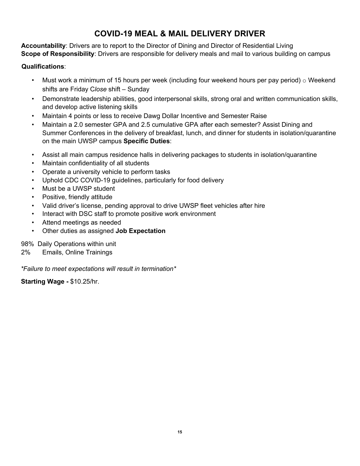# **COVID-19 MEAL & MAIL DELIVERY DRIVER**

**Accountability**: Drivers are to report to the Director of Dining and Director of Residential Living **Scope of Responsibility**: Drivers are responsible for delivery meals and mail to various building on campus

#### **Qualifications**:

- Must work a minimum of 15 hours per week (including four weekend hours per pay period)  $\circ$  Weekend shifts are Friday C*lose* shift – Sunday
- Demonstrate leadership abilities, good interpersonal skills, strong oral and written communication skills, and develop active listening skills
- Maintain 4 points or less to receive Dawg Dollar Incentive and Semester Raise
- Maintain a 2.0 semester GPA and 2.5 cumulative GPA after each semester? Assist Dining and Summer Conferences in the delivery of breakfast, lunch, and dinner for students in isolation/quarantine on the main UWSP campus **Specific Duties**:
- Assist all main campus residence halls in delivering packages to students in isolation/quarantine
- Maintain confidentiality of all students
- Operate a university vehicle to perform tasks
- Uphold CDC COVID-19 quidelines, particularly for food delivery
- Must be a UWSP student
- Positive, friendly attitude
- Valid driver's license, pending approval to drive UWSP fleet vehicles after hire
- Interact with DSC staff to promote positive work environment
- Attend meetings as needed
- Other duties as assigned **Job Expectation**

98% Daily Operations within unit

2% Emails, Online Trainings

*\*Failure to meet expectations will result in termination\** 

**Starting Wage -** \$10.25/hr.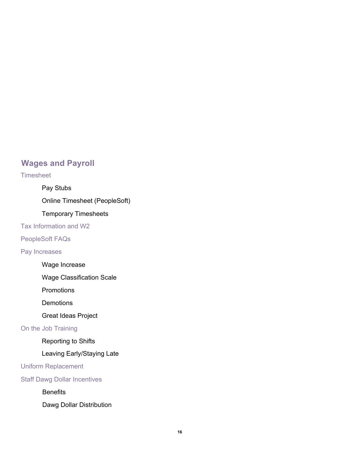# **Wages and Payroll**

#### **Timesheet**

Pay Stubs

Online Timesheet (PeopleSoft)

Temporary Timesheets

Tax Information and W2

PeopleSoft FAQs

Pay Increases

Wage Increase

Wage Classification Scale

**Promotions** 

**Demotions** 

Great Ideas Project

On the Job Training

Reporting to Shifts

Leaving Early/Staying Late

Uniform Replacement

Staff Dawg Dollar Incentives

**Benefits** 

Dawg Dollar Distribution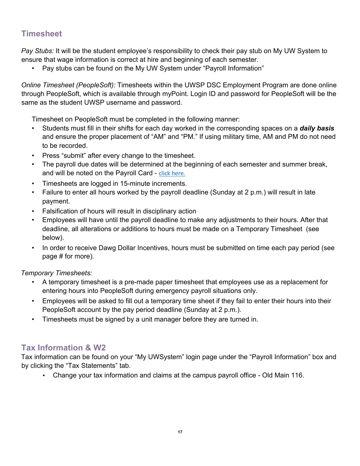# **Timesheet**

*Pay Stubs:* It will be the student employee's responsibility to check their pay stub on My UW System to ensure that wage information is correct at hire and beginning of each semester.

• Pay stubs can be found on the My UW System under "Payroll Information"

*Online Timesheet (PeopleSoft):* Timesheets within the UWSP DSC Employment Program are done online through PeopleSoft, which is available through myPoint. Login ID and password for PeopleSoft will be the same as the student UWSP username and password.

Timesheet on PeopleSoft must be completed in the following manner:

- Students must fill in their shifts for each day worked in the corresponding spaces on a *daily basis* and ensure the proper placement of "AM" and "PM." If using military time, AM and PM do not need to be recorded.
- Press "submit" after every change to the timesheet.
- The payroll due dates will be determined at the beginning of each semester and summer break, and will be noted on the Payroll Card - click here.
- Timesheets are logged in 15-minute increments.
- Failure to enter all hours worked by the payroll deadline (Sunday at 2 p.m.) will result in late payment.
- Falsification of hours will result in disciplinary action
- Employees will have until the payroll deadline to make any adjustments to their hours. After that deadline, all alterations or additions to hours must be made on a Temporary Timesheet (see below).
- In order to receive Dawg Dollar Incentives, hours must be submitted on time each pay period (see page # for more).

*Temporary Timesheets:*

- A temporary timesheet is a pre-made paper timesheet that employees use as a replacement for entering hours into PeopleSoft during emergency payroll situations only.
- Employees will be asked to fill out a temporary time sheet if they fail to enter their hours into their PeopleSoft account by the pay period deadline (Sunday at 2 p.m.).
- Timesheets must be signed by a unit manager before they are turned in.

# **Tax Information & W2**

Tax information can be found on your "My UWSystem" login page under the "Payroll Information" box and by clicking the "Tax Statements" tab.

• Change your tax information and claims at the campus payroll office - Old Main 116.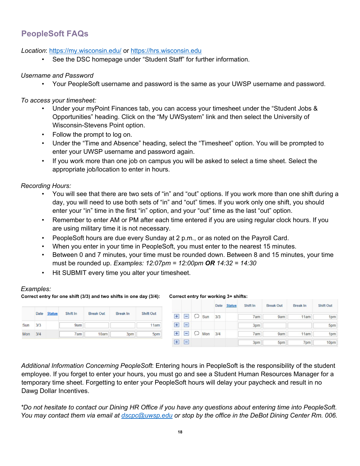# **PeopleSoft FAQs**

#### *Location*: https://my.wisconsin.edu/ or https://hrs.wisconsin.edu

See the DSC homepage under "Student Staff" for further information.

#### *Username and Password*

• Your PeopleSoft username and password is the same as your UWSP username and password.

*To access your timesheet:* 

- Under your myPoint Finances tab, you can access your timesheet under the "Student Jobs & Opportunities" heading. Click on the "My UWSystem" link and then select the University of Wisconsin-Stevens Point option.
- Follow the prompt to log on.
- Under the "Time and Absence" heading, select the "Timesheet" option. You will be prompted to enter your UWSP username and password again.
- If you work more than one job on campus you will be asked to select a time sheet. Select the appropriate job/location to enter in hours.

*Recording Hours:* 

- You will see that there are two sets of "in" and "out" options. If you work more than one shift during a day, you will need to use both sets of "in" and "out" times. If you work only one shift, you should enter your "in" time in the first "in" option, and your "out" time as the last "out" option.
- Remember to enter AM or PM after each time entered if you are using regular clock hours. If you are using military time it is not necessary.
- PeopleSoft hours are due every Sunday at 2 p.m., or as noted on the Payroll Card.
- When you enter in your time in PeopleSoft, you must enter to the nearest 15 minutes.
- Between 0 and 7 minutes, your time must be rounded down. Between 8 and 15 minutes, your time must be rounded up. *Examples: 12:07pm = 12:00pm OR 14:32 = 14:30*
- Hit SUBMIT every time you alter your timesheet.

#### *Examples:*

**Correct entry for one shift (3/3) and two shifts in one day (3/4): Correct entry for working 3+ shifts:** 

|           |      |               |          |                  |                 |                  |              |                 |                   | Date | <b>Status</b> | Shift In | <b>Break Out</b> | <b>Break In</b> | <b>Shift Out</b> |
|-----------|------|---------------|----------|------------------|-----------------|------------------|--------------|-----------------|-------------------|------|---------------|----------|------------------|-----------------|------------------|
|           | Date | <b>Status</b> | Shift In | <b>Break Out</b> | <b>Break In</b> | <b>Shift Out</b> | H            |                 | $\Box$ $\Box$ sun | 3/3  |               | 7am      | 9am              | 11am            | 1pm              |
| Sun       | 3/3  |               | 9am      |                  |                 | 11am             | $\mathbf{H}$ | $\overline{ }$  |                   |      |               | 3pm      |                  |                 | 5pm              |
| Mon $3/4$ |      |               | 7am      | 10am             | 3pm             | 5pm              | $\pm$        |                 | $\Box$ $\Box$ Mon | 3/4  |               | 7am      | 9am              | 11am            | 1pm              |
|           |      |               |          |                  |                 |                  | Ŧ            | $\vert - \vert$ |                   |      |               | 3pm      | 5pm              | 7pm             | 10pm             |

*Additional Information Concerning PeopleSoft*: Entering hours in PeopleSoft is the responsibility of the student employee. If you forget to enter your hours, you must go and see a Student Human Resources Manager for a temporary time sheet. Forgetting to enter your PeopleSoft hours will delay your paycheck and result in no Dawg Dollar Incentives.

*\*Do not hesitate to contact our Dining HR Office if you have any questions about entering time into PeopleSoft. You may contact them via email at dscpc@uwsp.edu or stop by the office in the DeBot Dining Center Rm. 006.*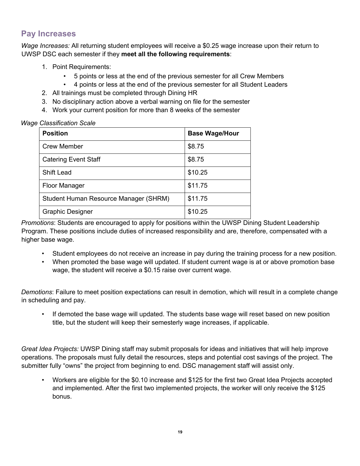# **Pay Increases**

*Wage Increases:* All returning student employees will receive a \$0.25 wage increase upon their return to UWSP DSC each semester if they **meet all the following requirements**:

- 1. Point Requirements:
	- 5 points or less at the end of the previous semester for all Crew Members
	- 4 points or less at the end of the previous semester for all Student Leaders
- 2. All trainings must be completed through Dining HR
- 3. No disciplinary action above a verbal warning on file for the semester
- 4. Work your current position for more than 8 weeks of the semester

| <b>Wage Classification Scale</b> |
|----------------------------------|
|----------------------------------|

| <b>Position</b>                       | <b>Base Wage/Hour</b> |
|---------------------------------------|-----------------------|
| <b>Crew Member</b>                    | \$8.75                |
| <b>Catering Event Staff</b>           | \$8.75                |
| <b>Shift Lead</b>                     | \$10.25               |
| <b>Floor Manager</b>                  | \$11.75               |
| Student Human Resource Manager (SHRM) | \$11.75               |
| <b>Graphic Designer</b>               | \$10.25               |

*Promotions*: Students are encouraged to apply for positions within the UWSP Dining Student Leadership Program. These positions include duties of increased responsibility and are, therefore, compensated with a higher base wage.

- Student employees do not receive an increase in pay during the training process for a new position.
- When promoted the base wage will updated. If student current wage is at or above promotion base wage, the student will receive a \$0.15 raise over current wage.

*Demotions*: Failure to meet position expectations can result in demotion, which will result in a complete change in scheduling and pay.

• If demoted the base wage will updated. The students base wage will reset based on new position title, but the student will keep their semesterly wage increases, if applicable.

*Great Idea Projects:* UWSP Dining staff may submit proposals for ideas and initiatives that will help improve operations. The proposals must fully detail the resources, steps and potential cost savings of the project. The submitter fully "owns" the project from beginning to end. DSC management staff will assist only.

• Workers are eligible for the \$0.10 increase and \$125 for the first two Great Idea Projects accepted and implemented. After the first two implemented projects, the worker will only receive the \$125 bonus.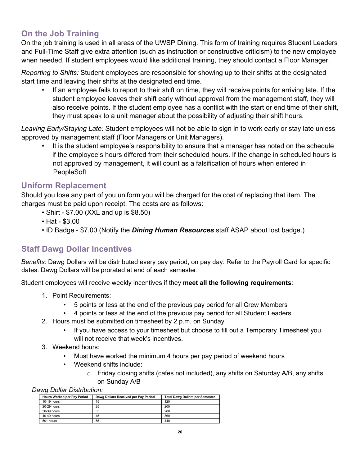# **On the Job Training**

On the job training is used in all areas of the UWSP Dining. This form of training requires Student Leaders and Full-Time Staff give extra attention (such as instruction or constructive criticism) to the new employee when needed. If student employees would like additional training, they should contact a Floor Manager.

*Reporting to Shifts:* Student employees are responsible for showing up to their shifts at the designated start time and leaving their shifts at the designated end time.

• If an employee fails to report to their shift on time, they will receive points for arriving late. If the student employee leaves their shift early without approval from the management staff, they will also receive points. If the student employee has a conflict with the start or end time of their shift, they must speak to a unit manager about the possibility of adjusting their shift hours.

*Leaving Early/Staying Late:* Student employees will not be able to sign in to work early or stay late unless approved by management staff (Floor Managers or Unit Managers).

• It is the student employee's responsibility to ensure that a manager has noted on the schedule if the employee's hours differed from their scheduled hours. If the change in scheduled hours is not approved by management, it will count as a falsification of hours when entered in PeopleSoft

#### **Uniform Replacement**

Should you lose any part of you uniform you will be charged for the cost of replacing that item. The charges must be paid upon receipt. The costs are as follows:

- Shirt \$7.00 (XXL and up is \$8.50)
- Hat \$3.00
- ID Badge \$7.00 (Notify the *Dining Human Resources* staff ASAP about lost badge.)

## **Staff Dawg Dollar Incentives**

*Benefits:* Dawg Dollars will be distributed every pay period, on pay day. Refer to the Payroll Card for specific dates. Dawg Dollars will be prorated at end of each semester.

Student employees will receive weekly incentives if they **meet all the following requirements**:

- 1. Point Requirements:
	- 5 points or less at the end of the previous pay period for all Crew Members
	- 4 points or less at the end of the previous pay period for all Student Leaders
- 2. Hours must be submitted on timesheet by 2 p.m. on Sunday
	- If you have access to your timesheet but choose to fill out a Temporary Timesheet you will not receive that week's incentives.
- 3. Weekend hours:
	- Must have worked the minimum 4 hours per pay period of weekend hours
	- Weekend shifts include:
		- $\circ$  Friday closing shifts (cafes not included), any shifts on Saturday A/B, any shifts on Sunday A/B

*Dawg Dollar Distribution:* 

| ີ                                  |                                      |                                        |
|------------------------------------|--------------------------------------|----------------------------------------|
| <b>Hours Worked per Pay Period</b> | Dawg Dollars Received per Pay Period | <b>Total Dawg Dollars per Semester</b> |
| $10-19$ hours                      | 15                                   | 120                                    |
| 20-29 hours                        | 25                                   | 200                                    |
| 30-39 hours                        | 35                                   | 280                                    |
| 40-49 hours                        | 45                                   | 360                                    |
| 50+ hours                          | 55                                   | 440                                    |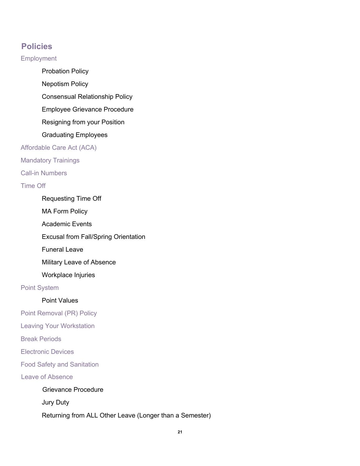# **Policies**

**Employment** 

Probation Policy

Nepotism Policy

Consensual Relationship Policy

Employee Grievance Procedure

Resigning from your Position

Graduating Employees

Affordable Care Act (ACA)

Mandatory Trainings

Call-in Numbers

Time Off

Requesting Time Off

MA Form Policy

Academic Events

Excusal from Fall/Spring Orientation

Funeral Leave

Military Leave of Absence

Workplace Injuries

Point System

#### Point Values

Point Removal (PR) Policy

Leaving Your Workstation

Break Periods

Electronic Devices

Food Safety and Sanitation

Leave of Absence

Grievance Procedure

Jury Duty

Returning from ALL Other Leave (Longer than a Semester)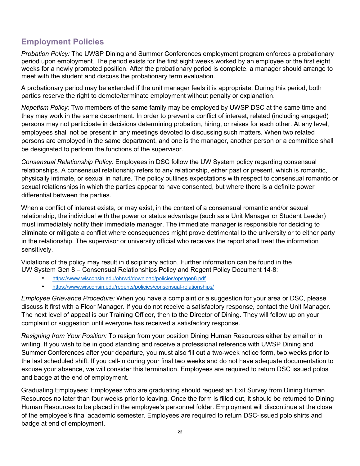# **Employment Policies**

*Probation Policy:* The UWSP Dining and Summer Conferences employment program enforces a probationary period upon employment. The period exists for the first eight weeks worked by an employee or the first eight weeks for a newly promoted position. After the probationary period is complete, a manager should arrange to meet with the student and discuss the probationary term evaluation.

A probationary period may be extended if the unit manager feels it is appropriate. During this period, both parties reserve the right to demote/terminate employment without penalty or explanation.

*Nepotism Policy:* Two members of the same family may be employed by UWSP DSC at the same time and they may work in the same department. In order to prevent a conflict of interest, related (including engaged) persons may not participate in decisions determining probation, hiring, or raises for each other. At any level, employees shall not be present in any meetings devoted to discussing such matters. When two related persons are employed in the same department, and one is the manager, another person or a committee shall be designated to perform the functions of the supervisor.

*Consensual Relationship Policy:* Employees in DSC follow the UW System policy regarding consensual relationships. A consensual relationship refers to any relationship, either past or present, which is romantic, physically intimate, or sexual in nature. The policy outlines expectations with respect to consensual romantic or sexual relationships in which the parties appear to have consented, but where there is a definite power differential between the parties.

When a conflict of interest exists, or may exist, in the context of a consensual romantic and/or sexual relationship, the individual with the power or status advantage (such as a Unit Manager or Student Leader) must immediately notify their immediate manager. The immediate manager is responsible for deciding to eliminate or mitigate a conflict where consequences might prove detrimental to the university or to either party in the relationship. The supervisor or university official who receives the report shall treat the information sensitively.

Violations of the policy may result in disciplinary action. Further information can be found in the UW System Gen 8 – Consensual Relationships Policy and Regent Policy Document 14-8:

- https://www.wisconsin.edu/ohrwd/download/policies/ops/gen8.pdf
- https://www.wisconsin.edu/regents/policies/consensual-relationships/

*Employee Grievance Procedure:* When you have a complaint or a suggestion for your area or DSC, please discuss it first with a Floor Manager. If you do not receive a satisfactory response, contact the Unit Manager. The next level of appeal is our Training Officer, then to the Director of Dining. They will follow up on your complaint or suggestion until everyone has received a satisfactory response.

*Resigning from Your Position:* To resign from your position Dining Human Resources either by email or in writing. If you wish to be in good standing and receive a professional reference with UWSP Dining and Summer Conferences after your departure, you must also fill out a two-week notice form, two weeks prior to the last scheduled shift. If you call-in during your final two weeks and do not have adequate documentation to excuse your absence, we will consider this termination. Employees are required to return DSC issued polos and badge at the end of employment.

Graduating Employees: Employees who are graduating should request an Exit Survey from Dining Human Resources no later than four weeks prior to leaving. Once the form is filled out, it should be returned to Dining Human Resources to be placed in the employee's personnel folder. Employment will discontinue at the close of the employee's final academic semester. Employees are required to return DSC-issued polo shirts and badge at end of employment.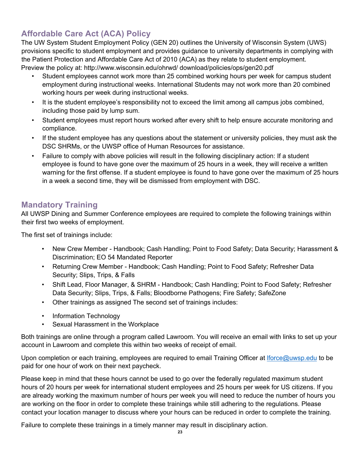# **Affordable Care Act (ACA) Policy**

The UW System Student Employment Policy (GEN 20) outlines the University of Wisconsin System (UWS) provisions specific to student employment and provides guidance to university departments in complying with the Patient Protection and Affordable Care Act of 2010 (ACA) as they relate to student employment. Preview the policy at: http://www.wisconsin.edu/ohrwd/ download/policies/ops/gen20.pdf

- Student employees cannot work more than 25 combined working hours per week for campus student employment during instructional weeks. International Students may not work more than 20 combined working hours per week during instructional weeks.
- It is the student employee's responsibility not to exceed the limit among all campus jobs combined, including those paid by lump sum.
- Student employees must report hours worked after every shift to help ensure accurate monitoring and compliance.
- If the student employee has any questions about the statement or university policies, they must ask the DSC SHRMs, or the UWSP office of Human Resources for assistance.
- Failure to comply with above policies will result in the following disciplinary action: If a student employee is found to have gone over the maximum of 25 hours in a week, they will receive a written warning for the first offense. If a student employee is found to have gone over the maximum of 25 hours in a week a second time, they will be dismissed from employment with DSC.

# **Mandatory Training**

All UWSP Dining and Summer Conference employees are required to complete the following trainings within their first two weeks of employment.

The first set of trainings include:

- New Crew Member Handbook; Cash Handling; Point to Food Safety; Data Security; Harassment & Discrimination; EO 54 Mandated Reporter
- Returning Crew Member Handbook; Cash Handling; Point to Food Safety; Refresher Data Security; Slips, Trips, & Falls
- Shift Lead, Floor Manager, & SHRM Handbook; Cash Handling; Point to Food Safety; Refresher Data Security; Slips, Trips, & Falls; Bloodborne Pathogens; Fire Safety; SafeZone
- Other trainings as assigned The second set of trainings includes:
- Information Technology
- Sexual Harassment in the Workplace

Both trainings are online through a program called Lawroom. You will receive an email with links to set up your account in Lawroom and complete this within two weeks of receipt of email.

Upon completion or each training, employees are required to email Training Officer at Iforce@uwsp.edu to be paid for one hour of work on their next paycheck.

Please keep in mind that these hours cannot be used to go over the federally regulated maximum student hours of 20 hours per week for international student employees and 25 hours per week for US citizens. If you are already working the maximum number of hours per week you will need to reduce the number of hours you are working on the floor in order to complete these trainings while still adhering to the regulations. Please contact your location manager to discuss where your hours can be reduced in order to complete the training.

Failure to complete these trainings in a timely manner may result in disciplinary action.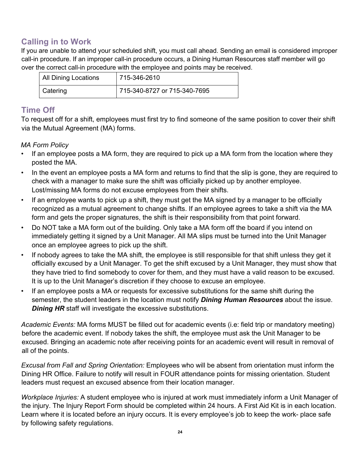# **Calling in to Work**

If you are unable to attend your scheduled shift, you must call ahead. Sending an email is considered improper call-in procedure. If an improper call-in procedure occurs, a Dining Human Resources staff member will go over the correct call-in procedure with the employee and points may be received.

| <b>All Dining Locations</b> | 715-346-2610                 |
|-----------------------------|------------------------------|
| Catering                    | 715-340-8727 or 715-340-7695 |

# **Time Off**

To request off for a shift, employees must first try to find someone of the same position to cover their shift via the Mutual Agreement (MA) forms.

#### *MA Form Policy*

- If an employee posts a MA form, they are required to pick up a MA form from the location where they posted the MA.
- In the event an employee posts a MA form and returns to find that the slip is gone, they are required to check with a manager to make sure the shift was officially picked up by another employee. Lost/missing MA forms do not excuse employees from their shifts.
- If an employee wants to pick up a shift, they must get the MA signed by a manager to be officially recognized as a mutual agreement to change shifts. If an employee agrees to take a shift via the MA form and gets the proper signatures, the shift is their responsibility from that point forward.
- Do NOT take a MA form out of the building. Only take a MA form off the board if you intend on immediately getting it signed by a Unit Manager. All MA slips must be turned into the Unit Manager once an employee agrees to pick up the shift.
- If nobody agrees to take the MA shift, the employee is still responsible for that shift unless they get it officially excused by a Unit Manager. To get the shift excused by a Unit Manager, they must show that they have tried to find somebody to cover for them, and they must have a valid reason to be excused. It is up to the Unit Manager's discretion if they choose to excuse an employee.
- If an employee posts a MA or requests for excessive substitutions for the same shift during the semester, the student leaders in the location must notify *Dining Human Resources* about the issue. *Dining HR staff will investigate the excessive substitutions.*

*Academic Events:* MA forms MUST be filled out for academic events (i.e: field trip or mandatory meeting) before the academic event. If nobody takes the shift, the employee must ask the Unit Manager to be excused. Bringing an academic note after receiving points for an academic event will result in removal of all of the points.

*Excusal from Fall and Spring Orientation:* Employees who will be absent from orientation must inform the Dining HR Office. Failure to notify will result in FOUR attendance points for missing orientation. Student leaders must request an excused absence from their location manager.

*Workplace Injuries:* A student employee who is injured at work must immediately inform a Unit Manager of the injury. The Injury Report Form should be completed within 24 hours. A First Aid Kit is in each location. Learn where it is located before an injury occurs. It is every employee's job to keep the work- place safe by following safety regulations.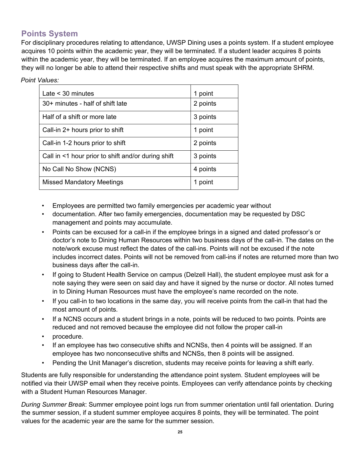# **Points System**

For disciplinary procedures relating to attendance, UWSP Dining uses a points system. If a student employee acquires 10 points within the academic year, they will be terminated. If a student leader acquires 8 points within the academic year, they will be terminated. If an employee acquires the maximum amount of points, they will no longer be able to attend their respective shifts and must speak with the appropriate SHRM.

| Point Values: |  |
|---------------|--|
|               |  |

| Late $<$ 30 minutes                                      | 1 point  |
|----------------------------------------------------------|----------|
| 30+ minutes - half of shift late                         | 2 points |
| Half of a shift or more late                             | 3 points |
| Call-in 2+ hours prior to shift                          | 1 point  |
| Call-in 1-2 hours prior to shift                         | 2 points |
| Call in $\leq 1$ hour prior to shift and/or during shift | 3 points |
| No Call No Show (NCNS)                                   | 4 points |
| <b>Missed Mandatory Meetings</b>                         | 1 point  |

- Employees are permitted two family emergencies per academic year without
- documentation. After two family emergencies, documentation may be requested by DSC management and points may accumulate.
- Points can be excused for a call-in if the employee brings in a signed and dated professor's or doctor's note to Dining Human Resources within two business days of the call-in. The dates on the note/work excuse must reflect the dates of the call-ins. Points will not be excused if the note includes incorrect dates. Points will not be removed from call-ins if notes are returned more than two business days after the call-in.
- If going to Student Health Service on campus (Delzell Hall), the student employee must ask for a note saying they were seen on said day and have it signed by the nurse or doctor. All notes turned in to Dining Human Resources must have the employee's name recorded on the note.
- If you call-in to two locations in the same day, you will receive points from the call-in that had the most amount of points.
- If a NCNS occurs and a student brings in a note, points will be reduced to two points. Points are reduced and not removed because the employee did not follow the proper call-in
- procedure.
- If an employee has two consecutive shifts and NCNSs, then 4 points will be assigned. If an employee has two nonconsecutive shifts and NCNSs, then 8 points will be assigned.
- Pending the Unit Manager's discretion, students may receive points for leaving a shift early.

Students are fully responsible for understanding the attendance point system. Student employees will be notified via their UWSP email when they receive points. Employees can verify attendance points by checking with a Student Human Resources Manager.

*During Summer Break*: Summer employee point logs run from summer orientation until fall orientation. During the summer session, if a student summer employee acquires 8 points, they will be terminated. The point values for the academic year are the same for the summer session.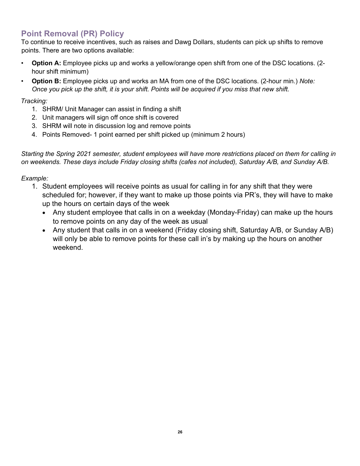# **Point Removal (PR) Policy**

To continue to receive incentives, such as raises and Dawg Dollars, students can pick up shifts to remove points. There are two options available:

- **Option A:** Employee picks up and works a yellow/orange open shift from one of the DSC locations. (2 hour shift minimum)
- **Option B:** Employee picks up and works an MA from one of the DSC locations. (2-hour min.) *Note: Once you pick up the shift, it is your shift. Points will be acquired if you miss that new shift.*

#### *Tracking:*

- 1. SHRM/ Unit Manager can assist in finding a shift
- 2. Unit managers will sign off once shift is covered
- 3. SHRM will note in discussion log and remove points
- 4. Points Removed- 1 point earned per shift picked up (minimum 2 hours)

*Starting the Spring 2021 semester, student employees will have more restrictions placed on them for calling in on weekends. These days include Friday closing shifts (cafes not included), Saturday A/B, and Sunday A/B.* 

#### *Example:*

- 1. Student employees will receive points as usual for calling in for any shift that they were scheduled for; however, if they want to make up those points via PR's, they will have to make up the hours on certain days of the week
	- Any student employee that calls in on a weekday (Monday-Friday) can make up the hours to remove points on any day of the week as usual
	- Any student that calls in on a weekend (Friday closing shift, Saturday A/B, or Sunday A/B) will only be able to remove points for these call in's by making up the hours on another weekend.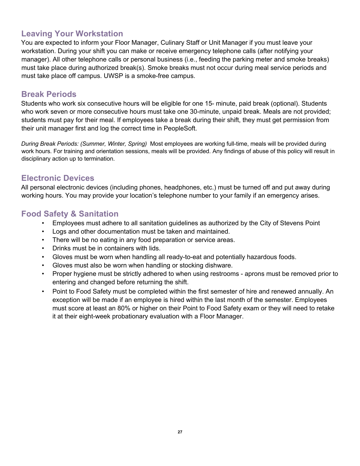# **Leaving Your Workstation**

You are expected to inform your Floor Manager, Culinary Staff or Unit Manager if you must leave your workstation. During your shift you can make or receive emergency telephone calls (after notifying your manager). All other telephone calls or personal business (i.e., feeding the parking meter and smoke breaks) must take place during authorized break(s). Smoke breaks must not occur during meal service periods and must take place off campus. UWSP is a smoke-free campus.

# **Break Periods**

Students who work six consecutive hours will be eligible for one 15- minute, paid break (optional). Students who work seven or more consecutive hours must take one 30-minute, unpaid break. Meals are not provided; students must pay for their meal. If employees take a break during their shift, they must get permission from their unit manager first and log the correct time in PeopleSoft.

*During Break Periods: (Summer, Winter, Spring)* Most employees are working full-time, meals will be provided during work hours. For training and orientation sessions, meals will be provided. Any findings of abuse of this policy will result in disciplinary action up to termination.

## **Electronic Devices**

All personal electronic devices (including phones, headphones, etc.) must be turned off and put away during working hours. You may provide your location's telephone number to your family if an emergency arises.

# **Food Safety & Sanitation**

- Employees must adhere to all sanitation guidelines as authorized by the City of Stevens Point
- Logs and other documentation must be taken and maintained.
- There will be no eating in any food preparation or service areas.
- Drinks must be in containers with lids.
- Gloves must be worn when handling all ready-to-eat and potentially hazardous foods.
- Gloves must also be worn when handling or stocking dishware.
- Proper hygiene must be strictly adhered to when using restrooms aprons must be removed prior to entering and changed before returning the shift.
- Point to Food Safety must be completed within the first semester of hire and renewed annually. An exception will be made if an employee is hired within the last month of the semester. Employees must score at least an 80% or higher on their Point to Food Safety exam or they will need to retake it at their eight-week probationary evaluation with a Floor Manager.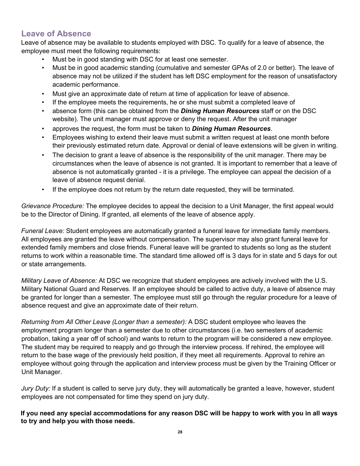# **Leave of Absence**

Leave of absence may be available to students employed with DSC. To qualify for a leave of absence, the employee must meet the following requirements:

- Must be in good standing with DSC for at least one semester.
- Must be in good academic standing (cumulative and semester GPAs of 2.0 or better). The leave of absence may not be utilized if the student has left DSC employment for the reason of unsatisfactory academic performance.
- Must give an approximate date of return at time of application for leave of absence.
- If the employee meets the requirements, he or she must submit a completed leave of
- absence form (this can be obtained from the *Dining Human Resources* staff or on the DSC website). The unit manager must approve or deny the request. After the unit manager
- approves the request, the form must be taken to *Dining Human Resources*.
- Employees wishing to extend their leave must submit a written request at least one month before their previously estimated return date. Approval or denial of leave extensions will be given in writing.
- The decision to grant a leave of absence is the responsibility of the unit manager. There may be circumstances when the leave of absence is not granted. It is important to remember that a leave of absence is not automatically granted - it is a privilege. The employee can appeal the decision of a leave of absence request denial.
- If the employee does not return by the return date requested, they will be terminated.

*Grievance Procedure:* The employee decides to appeal the decision to a Unit Manager, the first appeal would be to the Director of Dining. If granted, all elements of the leave of absence apply.

*Funeral Leave:* Student employees are automatically granted a funeral leave for immediate family members. All employees are granted the leave without compensation. The supervisor may also grant funeral leave for extended family members and close friends. Funeral leave will be granted to students so long as the student returns to work within a reasonable time. The standard time allowed off is 3 days for in state and 5 days for out or state arrangements.

*Military Leave of Absence:* At DSC we recognize that student employees are actively involved with the U.S. Military National Guard and Reserves. If an employee should be called to active duty, a leave of absence may be granted for longer than a semester. The employee must still go through the regular procedure for a leave of absence request and give an approximate date of their return.

*Returning from All Other Leave (Longer than a semester):* A DSC student employee who leaves the employment program longer than a semester due to other circumstances (i.e. two semesters of academic probation, taking a year off of school) and wants to return to the program will be considered a new employee. The student may be required to reapply and go through the interview process. If rehired, the employee will return to the base wage of the previously held position, if they meet all requirements. Approval to rehire an employee without going through the application and interview process must be given by the Training Officer or Unit Manager.

*Jury Duty:* If a student is called to serve jury duty, they will automatically be granted a leave, however, student employees are not compensated for time they spend on jury duty.

**If you need any special accommodations for any reason DSC will be happy to work with you in all ways to try and help you with those needs.**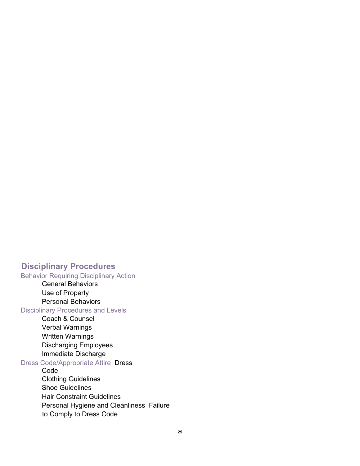## **Disciplinary Procedures**

#### Behavior Requiring Disciplinary Action

General Behaviors Use of Property Personal Behaviors

#### Disciplinary Procedures and Levels

Coach & Counsel Verbal Warnings Written Warnings Discharging Employees Immediate Discharge

#### Dress Code/Appropriate Attire Dress

Code Clothing Guidelines Shoe Guidelines Hair Constraint Guidelines Personal Hygiene and Cleanliness Failure to Comply to Dress Code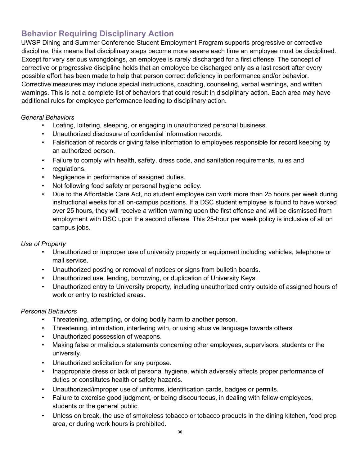# **Behavior Requiring Disciplinary Action**

UWSP Dining and Summer Conference Student Employment Program supports progressive or corrective discipline; this means that disciplinary steps become more severe each time an employee must be disciplined. Except for very serious wrongdoings, an employee is rarely discharged for a first offense. The concept of corrective or progressive discipline holds that an employee be discharged only as a last resort after every possible effort has been made to help that person correct deficiency in performance and/or behavior. Corrective measures may include special instructions, coaching, counseling, verbal warnings, and written warnings. This is not a complete list of behaviors that could result in disciplinary action. Each area may have additional rules for employee performance leading to disciplinary action.

#### *General Behaviors*

- Loafing, loitering, sleeping, or engaging in unauthorized personal business.
- Unauthorized disclosure of confidential information records.
- Falsification of records or giving false information to employees responsible for record keeping by an authorized person.
- Failure to comply with health, safety, dress code, and sanitation requirements, rules and
- regulations.
- Negligence in performance of assigned duties.
- Not following food safety or personal hygiene policy.
- Due to the Affordable Care Act, no student employee can work more than 25 hours per week during instructional weeks for all on-campus positions. If a DSC student employee is found to have worked over 25 hours, they will receive a written warning upon the first offense and will be dismissed from employment with DSC upon the second offense. This 25-hour per week policy is inclusive of all on campus jobs.

#### *Use of Property*

- Unauthorized or improper use of university property or equipment including vehicles, telephone or mail service.
- Unauthorized posting or removal of notices or signs from bulletin boards.
- Unauthorized use, lending, borrowing, or duplication of University Keys.
- Unauthorized entry to University property, including unauthorized entry outside of assigned hours of work or entry to restricted areas.

#### *Personal Behaviors*

- Threatening, attempting, or doing bodily harm to another person.
- Threatening, intimidation, interfering with, or using abusive language towards others.
- Unauthorized possession of weapons.
- Making false or malicious statements concerning other employees, supervisors, students or the university.
- Unauthorized solicitation for any purpose.
- Inappropriate dress or lack of personal hygiene, which adversely affects proper performance of duties or constitutes health or safety hazards.
- Unauthorized/improper use of uniforms, identification cards, badges or permits.
- Failure to exercise good judgment, or being discourteous, in dealing with fellow employees, students or the general public.
- Unless on break, the use of smokeless tobacco or tobacco products in the dining kitchen, food prep area, or during work hours is prohibited.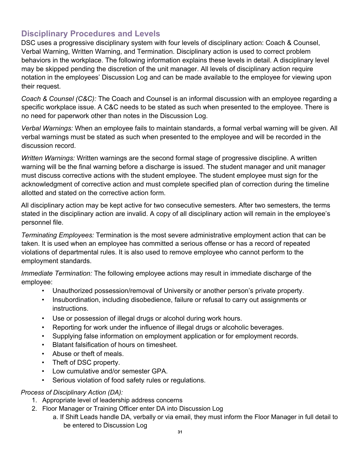# **Disciplinary Procedures and Levels**

DSC uses a progressive disciplinary system with four levels of disciplinary action: Coach & Counsel, Verbal Warning, Written Warning, and Termination. Disciplinary action is used to correct problem behaviors in the workplace. The following information explains these levels in detail. A disciplinary level may be skipped pending the discretion of the unit manager. All levels of disciplinary action require notation in the employees' Discussion Log and can be made available to the employee for viewing upon their request.

*Coach & Counsel (C&C):* The Coach and Counsel is an informal discussion with an employee regarding a specific workplace issue. A C&C needs to be stated as such when presented to the employee. There is no need for paperwork other than notes in the Discussion Log.

*Verbal Warnings:* When an employee fails to maintain standards, a formal verbal warning will be given. All verbal warnings must be stated as such when presented to the employee and will be recorded in the discussion record.

*Written Warnings:* Written warnings are the second formal stage of progressive discipline. A written warning will be the final warning before a discharge is issued. The student manager and unit manager must discuss corrective actions with the student employee. The student employee must sign for the acknowledgment of corrective action and must complete specified plan of correction during the timeline allotted and stated on the corrective action form.

All disciplinary action may be kept active for two consecutive semesters. After two semesters, the terms stated in the disciplinary action are invalid. A copy of all disciplinary action will remain in the employee's personnel file.

*Terminating Employees:* Termination is the most severe administrative employment action that can be taken. It is used when an employee has committed a serious offense or has a record of repeated violations of departmental rules. It is also used to remove employee who cannot perform to the employment standards.

*Immediate Termination:* The following employee actions may result in immediate discharge of the employee:

- Unauthorized possession/removal of University or another person's private property.
- Insubordination, including disobedience, failure or refusal to carry out assignments or instructions.
- Use or possession of illegal drugs or alcohol during work hours.
- Reporting for work under the influence of illegal drugs or alcoholic beverages.
- Supplying false information on employment application or for employment records.
- Blatant falsification of hours on timesheet.
- Abuse or theft of meals.
- Theft of DSC property.
- Low cumulative and/or semester GPA.
- Serious violation of food safety rules or regulations.

#### *Process of Disciplinary Action (DA):*

- 1. Appropriate level of leadership address concerns
- 2. Floor Manager or Training Officer enter DA into Discussion Log
	- a. If Shift Leads handle DA, verbally or via email, they must inform the Floor Manager in full detail to be entered to Discussion Log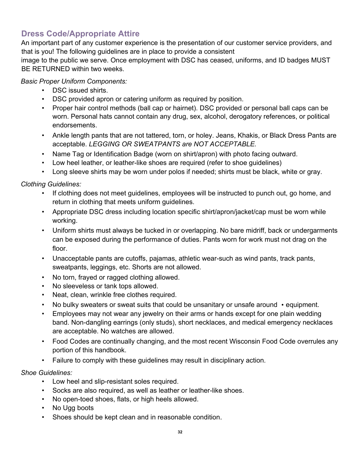# **Dress Code/Appropriate Attire**

An important part of any customer experience is the presentation of our customer service providers, and that is you! The following guidelines are in place to provide a consistent

image to the public we serve. Once employment with DSC has ceased, uniforms, and ID badges MUST BE RETURNED within two weeks.

#### *Basic Proper Uniform Components:*

- DSC issued shirts.
- DSC provided apron or catering uniform as required by position.
- Proper hair control methods (ball cap or hairnet). DSC provided or personal ball caps can be worn. Personal hats cannot contain any drug, sex, alcohol, derogatory references, or political endorsements.
- Ankle length pants that are not tattered, torn, or holey. Jeans, Khakis, or Black Dress Pants are acceptable. *LEGGING OR SWEATPANTS are NOT ACCEPTABLE.*
- Name Tag or Identification Badge (worn on shirt/apron) with photo facing outward.
- Low heel leather, or leather-like shoes are required (refer to shoe guidelines)
- Long sleeve shirts may be worn under polos if needed; shirts must be black, white or gray.

#### *Clothing Guidelines:*

- If clothing does not meet guidelines, employees will be instructed to punch out, go home, and return in clothing that meets uniform guidelines.
- Appropriate DSC dress including location specific shirt/apron/jacket/cap must be worn while working.
- Uniform shirts must always be tucked in or overlapping. No bare midriff, back or undergarments can be exposed during the performance of duties. Pants worn for work must not drag on the floor.
- Unacceptable pants are cutoffs, pajamas, athletic wear-such as wind pants, track pants, sweatpants, leggings, etc. Shorts are not allowed.
- No torn, frayed or ragged clothing allowed.
- No sleeveless or tank tops allowed.
- Neat, clean, wrinkle free clothes required.
- No bulky sweaters or sweat suits that could be unsanitary or unsafe around equipment.
- Employees may not wear any jewelry on their arms or hands except for one plain wedding band. Non-dangling earrings (only studs), short necklaces, and medical emergency necklaces are acceptable. No watches are allowed.
- Food Codes are continually changing, and the most recent Wisconsin Food Code overrules any portion of this handbook.
- Failure to comply with these guidelines may result in disciplinary action.

#### *Shoe Guidelines:*

- Low heel and slip-resistant soles required.
- Socks are also required, as well as leather or leather-like shoes.
- No open-toed shoes, flats, or high heels allowed.
- No Ugg boots
- Shoes should be kept clean and in reasonable condition.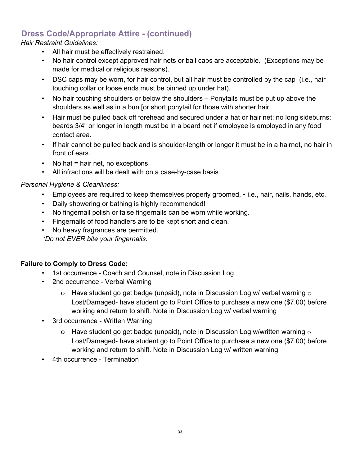# **Dress Code/Appropriate Attire - (continued)**

*Hair Restraint Guidelines:* 

- All hair must be effectively restrained.
- No hair control except approved hair nets or ball caps are acceptable. (Exceptions may be made for medical or religious reasons).
- DSC caps may be worn, for hair control, but all hair must be controlled by the cap (i.e., hair touching collar or loose ends must be pinned up under hat).
- No hair touching shoulders or below the shoulders Ponytails must be put up above the shoulders as well as in a bun [or short ponytail for those with shorter hair.
- Hair must be pulled back off forehead and secured under a hat or hair net; no long sideburns; beards 3/4" or longer in length must be in a beard net if employee is employed in any food contact area.
- If hair cannot be pulled back and is shoulder-length or longer it must be in a hairnet, no hair in front of ears.
- No hat  $=$  hair net, no exceptions
- All infractions will be dealt with on a case-by-case basis

#### *Personal Hygiene & Cleanliness:*

- Employees are required to keep themselves properly groomed, i.e., hair, nails, hands, etc.
- Daily showering or bathing is highly recommended!
- No fingernail polish or false fingernails can be worn while working.
- Fingernails of food handlers are to be kept short and clean.
- No heavy fragrances are permitted.

*\*Do not EVER bite your fingernails.*

#### **Failure to Comply to Dress Code:**

- 1st occurrence Coach and Counsel, note in Discussion Log
- 2nd occurrence Verbal Warning
	- o Have student go get badge (unpaid), note in Discussion Log w/ verbal warning  $\circ$ Lost/Damaged- have student go to Point Office to purchase a new one (\$7.00) before working and return to shift. Note in Discussion Log w/ verbal warning
- 3rd occurrence Written Warning
	- o Have student go get badge (unpaid), note in Discussion Log w/written warning  $\circ$ Lost/Damaged- have student go to Point Office to purchase a new one (\$7.00) before working and return to shift. Note in Discussion Log w/ written warning
- 4th occurrence Termination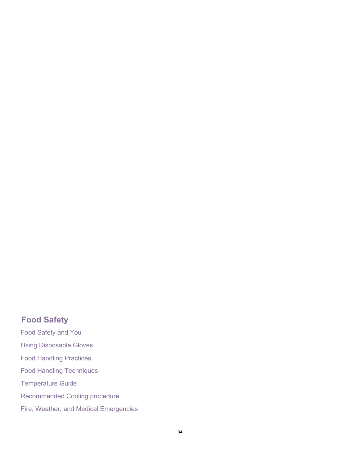# **Food Safety**

Food Safety and You Using Disposable Gloves Food Handling Practices Food Handling Techniques Temperature Guide Recommended Cooling procedure Fire, Weather, and Medical Emergencies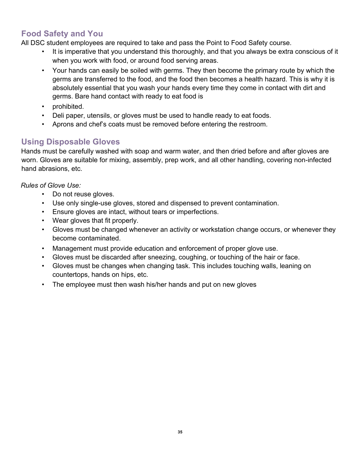# **Food Safety and You**

All DSC student employees are required to take and pass the Point to Food Safety course.

- It is imperative that you understand this thoroughly, and that you always be extra conscious of it when you work with food, or around food serving areas.
- Your hands can easily be soiled with germs. They then become the primary route by which the germs are transferred to the food, and the food then becomes a health hazard. This is why it is absolutely essential that you wash your hands every time they come in contact with dirt and germs. Bare hand contact with ready to eat food is
- prohibited.
- Deli paper, utensils, or gloves must be used to handle ready to eat foods.
- Aprons and chef's coats must be removed before entering the restroom.

# **Using Disposable Gloves**

Hands must be carefully washed with soap and warm water, and then dried before and after gloves are worn. Gloves are suitable for mixing, assembly, prep work, and all other handling, covering non-infected hand abrasions, etc.

*Rules of Glove Use:* 

- Do not reuse gloves.
- Use only single-use gloves, stored and dispensed to prevent contamination.
- Ensure gloves are intact, without tears or imperfections.
- Wear gloves that fit properly.
- Gloves must be changed whenever an activity or workstation change occurs, or whenever they become contaminated.
- Management must provide education and enforcement of proper glove use.
- Gloves must be discarded after sneezing, coughing, or touching of the hair or face.
- Gloves must be changes when changing task. This includes touching walls, leaning on countertops, hands on hips, etc.
- The employee must then wash his/her hands and put on new gloves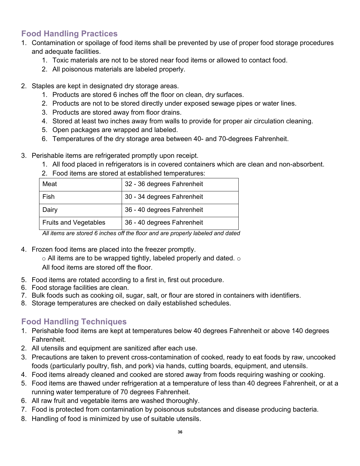# **Food Handling Practices**

- 1. Contamination or spoilage of food items shall be prevented by use of proper food storage procedures and adequate facilities.
	- 1. Toxic materials are not to be stored near food items or allowed to contact food.
	- 2. All poisonous materials are labeled properly.
- 2. Staples are kept in designated dry storage areas.
	- 1. Products are stored 6 inches off the floor on clean, dry surfaces.
	- 2. Products are not to be stored directly under exposed sewage pipes or water lines.
	- 3. Products are stored away from floor drains.
	- 4. Stored at least two inches away from walls to provide for proper air circulation cleaning.
	- 5. Open packages are wrapped and labeled.
	- 6. Temperatures of the dry storage area between 40- and 70-degrees Fahrenheit.
- 3. Perishable items are refrigerated promptly upon receipt.
	- 1. All food placed in refrigerators is in covered containers which are clean and non-absorbent.

| Meat                         | 32 - 36 degrees Fahrenheit |
|------------------------------|----------------------------|
| Fish                         | 30 - 34 degrees Fahrenheit |
| Dairy                        | 36 - 40 degrees Fahrenheit |
| <b>Fruits and Vegetables</b> | 36 - 40 degrees Fahrenheit |

2. Food items are stored at established temperatures:

*All items are stored 6 inches off the floor and are properly labeled and dated* 

4. Frozen food items are placed into the freezer promptly.

 $\circ$  All items are to be wrapped tightly, labeled properly and dated.  $\circ$ All food items are stored off the floor.

- 5. Food items are rotated according to a first in, first out procedure.
- 6. Food storage facilities are clean.
- 7. Bulk foods such as cooking oil, sugar, salt, or flour are stored in containers with identifiers.
- 8. Storage temperatures are checked on daily established schedules.

# **Food Handling Techniques**

- 1. Perishable food items are kept at temperatures below 40 degrees Fahrenheit or above 140 degrees Fahrenheit.
- 2. All utensils and equipment are sanitized after each use.
- 3. Precautions are taken to prevent cross-contamination of cooked, ready to eat foods by raw, uncooked foods (particularly poultry, fish, and pork) via hands, cutting boards, equipment, and utensils.
- 4. Food items already cleaned and cooked are stored away from foods requiring washing or cooking.
- 5. Food items are thawed under refrigeration at a temperature of less than 40 degrees Fahrenheit, or at a running water temperature of 70 degrees Fahrenheit.
- 6. All raw fruit and vegetable items are washed thoroughly.
- 7. Food is protected from contamination by poisonous substances and disease producing bacteria.
- 8. Handling of food is minimized by use of suitable utensils.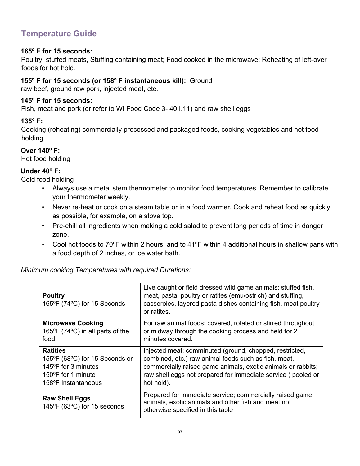# **Temperature Guide**

#### **165º F for 15 seconds:**

Poultry, stuffed meats, Stuffing containing meat; Food cooked in the microwave; Reheating of left-over foods for hot hold.

#### **155º F for 15 seconds (or 158º F instantaneous kill):** Ground

raw beef, ground raw pork, injected meat, etc.

#### **145º F for 15 seconds:**

Fish, meat and pork (or refer to WI Food Code 3- 401.11) and raw shell eggs

#### **135° F:**

Cooking (reheating) commercially processed and packaged foods, cooking vegetables and hot food holding

#### **Over 140º F:**

Hot food holding

#### **Under 40° F:**

Cold food holding

- Always use a metal stem thermometer to monitor food temperatures. Remember to calibrate your thermometer weekly.
- Never re-heat or cook on a steam table or in a food warmer. Cook and reheat food as quickly as possible, for example, on a stove top.
- Pre-chill all ingredients when making a cold salad to prevent long periods of time in danger zone.
- Cool hot foods to 70ºF within 2 hours; and to 41ºF within 4 additional hours in shallow pans with a food depth of 2 inches, or ice water bath.

*Minimum cooking Temperatures with required Durations:* 

| <b>Poultry</b><br>165°F (74°C) for 15 Seconds        | Live caught or field dressed wild game animals; stuffed fish,<br>meat, pasta, poultry or ratites (emu/ostrich) and stuffing,<br>casseroles, layered pasta dishes containing fish, meat poultry<br>or ratites. |
|------------------------------------------------------|---------------------------------------------------------------------------------------------------------------------------------------------------------------------------------------------------------------|
| <b>Microwave Cooking</b>                             | For raw animal foods: covered, rotated or stirred throughout                                                                                                                                                  |
| 165°F (74°C) in all parts of the                     | or midway through the cooking process and held for 2                                                                                                                                                          |
| food                                                 | minutes covered.                                                                                                                                                                                              |
| <b>Ratities</b>                                      | Injected meat; comminuted (ground, chopped, restricted,                                                                                                                                                       |
| 155°F (68°C) for 15 Seconds or                       | combined, etc.) raw animal foods such as fish, meat,                                                                                                                                                          |
| 145°F for 3 minutes                                  | commercially raised game animals, exotic animals or rabbits;                                                                                                                                                  |
| 150°F for 1 minute                                   | raw shell eggs not prepared for immediate service (pooled or                                                                                                                                                  |
| 158°F Instantaneous                                  | hot hold).                                                                                                                                                                                                    |
| <b>Raw Shell Eggs</b><br>145°F (63°C) for 15 seconds | Prepared for immediate service; commercially raised game<br>animals, exotic animals and other fish and meat not<br>otherwise specified in this table                                                          |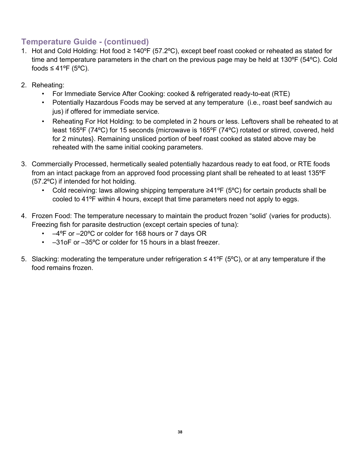# **Temperature Guide - (continued)**

- 1. Hot and Cold Holding: Hot food ≥ 140ºF (57.2ºC), except beef roast cooked or reheated as stated for time and temperature parameters in the chart on the previous page may be held at 130ºF (54ºC). Cold foods  $\leq 41^{\circ}$ F (5°C).
- 2. Reheating:
	- For Immediate Service After Cooking: cooked & refrigerated ready-to-eat (RTE)
	- Potentially Hazardous Foods may be served at any temperature (i.e., roast beef sandwich au jus) if offered for immediate service.
	- Reheating For Hot Holding: to be completed in 2 hours or less. Leftovers shall be reheated to at least 165ºF (74ºC) for 15 seconds {microwave is 165ºF (74ºC) rotated or stirred, covered, held for 2 minutes}. Remaining unsliced portion of beef roast cooked as stated above may be reheated with the same initial cooking parameters.
- 3. Commercially Processed, hermetically sealed potentially hazardous ready to eat food, or RTE foods from an intact package from an approved food processing plant shall be reheated to at least 135ºF (57.2ºC) if intended for hot holding.
	- Cold receiving: laws allowing shipping temperature ≥41ºF (5ºC) for certain products shall be cooled to 41ºF within 4 hours, except that time parameters need not apply to eggs.
- 4. Frozen Food: The temperature necessary to maintain the product frozen "solid' (varies for products). Freezing fish for parasite destruction (except certain species of tuna):
	- –4ºF or –20ºC or colder for 168 hours or 7 days OR
	- –31oF or –35ºC or colder for 15 hours in a blast freezer.
- 5. Slacking: moderating the temperature under refrigeration ≤ 41ºF (5ºC), or at any temperature if the food remains frozen.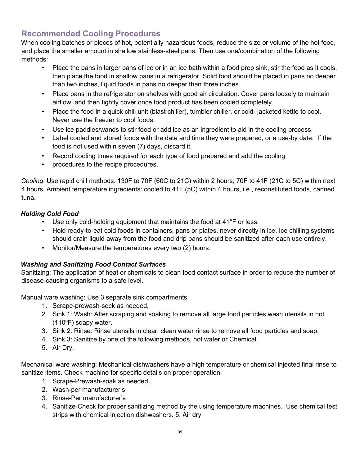# **Recommended Cooling Procedures**

When cooling batches or pieces of hot, potentially hazardous foods, reduce the size or volume of the hot food, and place the smaller amount in shallow stainless-steel pans. Then use one/combination of the following methods:

- Place the pans in larger pans of ice or in an ice bath within a food prep sink, stir the food as it cools, then place the food in shallow pans in a refrigerator. Solid food should be placed in pans no deeper than two inches, liquid foods in pans no deeper than three inches.
- Place pans in the refrigerator on shelves with good air circulation. Cover pans loosely to maintain airflow, and then tightly cover once food product has been cooled completely.
- Place the food in a quick chill unit (blast chiller), tumbler chiller, or cold- jacketed kettle to cool. Never use the freezer to cool foods.
- Use ice paddles/wands to stir food or add ice as an ingredient to aid in the cooling process.
- Label cooled and stored foods with the date and time they were prepared, or a use-by date. If the food is not used within seven (7) days, discard it.
- Record cooling times required for each type of food prepared and add the cooling
- procedures to the recipe procedures.

*Cooling*: Use rapid chill methods. 130F to 70F (60C to 21C) within 2 hours; 70F to 41F (21C to 5C) within next 4 hours. Ambient temperature ingredients: cooled to 41F (5C) within 4 hours, i.e., reconstituted foods, canned tuna.

#### *Holding Cold Food*

- Use only cold-holding equipment that maintains the food at 41°F or less.
- Hold ready-to-eat cold foods in containers, pans or plates, never directly in ice. Ice chilling systems should drain liquid away from the food and drip pans should be sanitized after each use entirely.
- Monitor/Measure the temperatures every two (2) hours.

#### *Washing and Sanitizing Food Contact Surfaces*

Sanitizing: The application of heat or chemicals to clean food contact surface in order to reduce the number of disease-causing organisms to a safe level.

Manual ware washing: Use 3 separate sink compartments

- 1. Scrape-prewash-sock as needed,
- 2. Sink 1: Wash: After scraping and soaking to remove all large food particles wash utensils in hot (110ºF) soapy water.
- 3. Sink 2: Rinse: Rinse utensils in clear, clean water rinse to remove all food particles and soap.
- 4. Sink 3: Sanitize by one of the following methods, hot water or Chemical.
- 5. Air Dry.

Mechanical ware washing: Mechanical dishwashers have a high temperature or chemical injected final rinse to sanitize items. Check machine for specific details on proper operation.

- 1. Scrape-Prewash-soak as needed.
- 2. Wash-per manufacturer's
- 3. Rinse-Per manufacturer's
- 4. Sanitize-Check for proper sanitizing method by the using temperature machines. Use chemical test strips with chemical injection dishwashers. 5. Air dry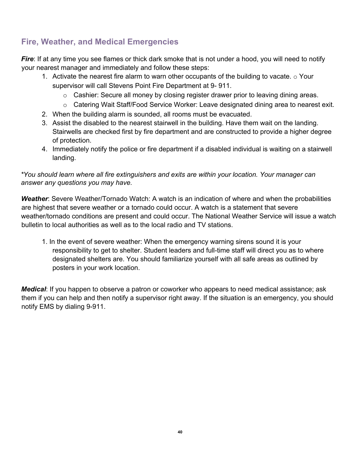# **Fire, Weather, and Medical Emergencies**

*Fire*: If at any time you see flames or thick dark smoke that is not under a hood, you will need to notify your nearest manager and immediately and follow these steps:

- 1. Activate the nearest fire alarm to warn other occupants of the building to vacate.  $\circ$  Your supervisor will call Stevens Point Fire Department at 9- 911.
	- $\circ$  Cashier: Secure all money by closing register drawer prior to leaving dining areas.
	- $\circ$  Catering Wait Staff/Food Service Worker: Leave designated dining area to nearest exit.
- 2. When the building alarm is sounded, all rooms must be evacuated.
- 3. Assist the disabled to the nearest stairwell in the building. Have them wait on the landing. Stairwells are checked first by fire department and are constructed to provide a higher degree of protection.
- 4. Immediately notify the police or fire department if a disabled individual is waiting on a stairwell landing.

*\*You should learn where all fire extinguishers and exits are within your location. Your manager can answer any questions you may have.*

*Weather*: Severe Weather/Tornado Watch: A watch is an indication of where and when the probabilities are highest that severe weather or a tornado could occur. A watch is a statement that severe weather/tornado conditions are present and could occur. The National Weather Service will issue a watch bulletin to local authorities as well as to the local radio and TV stations.

1. In the event of severe weather: When the emergency warning sirens sound it is your responsibility to get to shelter. Student leaders and full-time staff will direct you as to where designated shelters are. You should familiarize yourself with all safe areas as outlined by posters in your work location.

*Medical*: If you happen to observe a patron or coworker who appears to need medical assistance; ask them if you can help and then notify a supervisor right away. If the situation is an emergency, you should notify EMS by dialing 9-911.